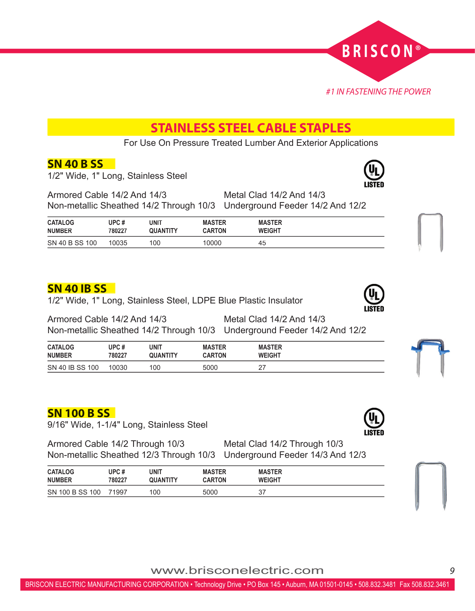

# **STAINLESS STEEL CABLE STAPLES**

For Use On Pressure Treated Lumber And Exterior Applications

#### **SN 40 B SS**

1/2" Wide, 1" Long, Stainless Steel



| <b>CATALOG</b> | UPC #  | UNIT     | <b>MASTER</b> | <b>MASTER</b> |  |
|----------------|--------|----------|---------------|---------------|--|
| <b>NUMBER</b>  | 780227 | QUANTITY | <b>CARTON</b> | <b>WEIGHT</b> |  |
| SN 40 B SS 100 | 10035  | 100      | 10000         | 45            |  |

### **SN 40 IB SS**

1/2" Wide, 1" Long, Stainless Steel, LDPE Blue Plastic Insulator



| <b>CATALOG</b>  | UPC #  | UNIT     | <b>MASTER</b> | <b>MASTER</b>  |  |
|-----------------|--------|----------|---------------|----------------|--|
| <b>NUMBER</b>   | 780227 | QUANTITY | <b>CARTON</b> | <b>WEIGHT</b>  |  |
| SN 40 IB SS 100 | 10030  | 100      | 5000          | רמ<br><u>.</u> |  |

### **SN 100 B SS**

9/16" Wide, 1-1/4" Long, Stainless Steel

Armored Cable 14/2 Through 10/3 Metal Clad 14/2 Through 10/3 Non-metallic Sheathed 12/3 Through 10/3 Underground Feeder 14/3 And 12/3

| <b>CATALOG</b>  | UPC #  | UNIT     | <b>MASTER</b> | <b>MASTER</b> |  |
|-----------------|--------|----------|---------------|---------------|--|
| <b>NUMBER</b>   | 780227 | QUANTITY | <b>CARTON</b> | <b>WEIGHT</b> |  |
| SN 100 B SS 100 | 71997  | 100      | 5000          | 37            |  |



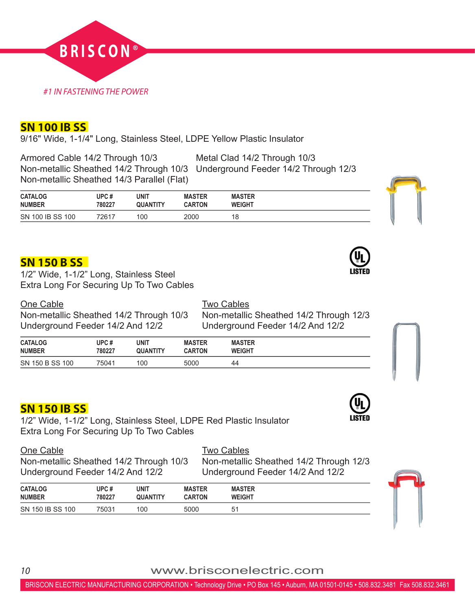

#### **SN 100 IB SS**

9/16" Wide, 1-1/4" Long, Stainless Steel, LDPE Yellow Plastic Insulator

Armored Cable 14/2 Through 10/3 Metal Clad 14/2 Through 10/3 Non-metallic Sheathed 14/3 Parallel (Flat)

Non-metallic Sheathed 14/2 Through 10/3 Underground Feeder 14/2 Through 12/3

| <b>CATALOG</b>   | UPC #  | unit     | <b>MASTER</b> | <b>MASTER</b>    |  |
|------------------|--------|----------|---------------|------------------|--|
| <b>NUMBER</b>    | 780227 | QUANTITY | <b>CARTON</b> | <b>WEIGHT</b>    |  |
| SN 100 IB SS 100 | 72617  | 100      | 2000          | <b>4 G</b><br>۱o |  |

### **SN 150 B SS**



One Cable **Two Cables** 

Non-metallic Sheathed 14/2 Through 10/3 Non-metallic Sheathed 14/2 Through 12/3 Underground Feeder 14/2 And 12/2 Underground Feeder 14/2 And 12/2

| <b>CATALOG</b>  | UPC #  | <b>UNIT</b>     | <b>MASTER</b> | <b>MASTER</b> |
|-----------------|--------|-----------------|---------------|---------------|
| <b>NUMBER</b>   | 780227 | <b>QUANTITY</b> | <b>CARTON</b> | <b>WEIGHT</b> |
| SN 150 B SS 100 | 75041  | 100             | 5000          | 44            |

### **SN 150 IB SS**

1/2" Wide, 1-1/2" Long, Stainless Steel, LDPE Red Plastic Insulator Extra Long For Securing Up To Two Cables

| One Cable                            |
|--------------------------------------|
| Non-metallic Sheathed 14/2 Through 1 |
| $I$ Inderaround Eeeder 14/2 And 12/2 |

**Two Cables** 0/3 Non-metallic Sheathed 14/2 Through 12/3 Underground Feeder 14/2 And 12/2 Underground Feeder 14/2 And 12/2

| <b>CATALOG</b>   | UPC #  | UNIT            | <b>MASTER</b> | <b>MASTER</b>  |  |
|------------------|--------|-----------------|---------------|----------------|--|
| <b>NUMBER</b>    | 780227 | <b>QUANTITY</b> | <b>CARTON</b> | <b>WEIGHT</b>  |  |
| SN 150 IB SS 100 | 75031  | 100             | 5000          | 5 <sup>1</sup> |  |



*<sup>10</sup>* www.brisconelectric.com